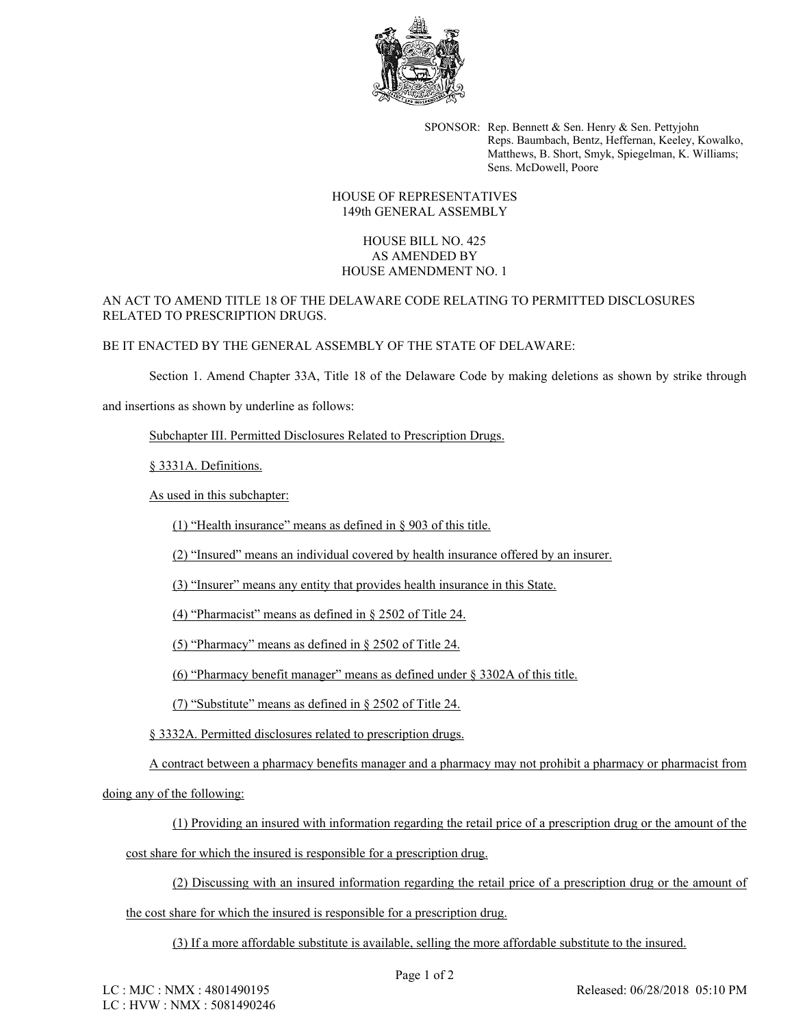

SPONSOR: Rep. Bennett & Sen. Henry & Sen. Pettyjohn Reps. Baumbach, Bentz, Heffernan, Keeley, Kowalko, Matthews, B. Short, Smyk, Spiegelman, K. Williams; Sens. McDowell, Poore

## HOUSE OF REPRESENTATIVES 149th GENERAL ASSEMBLY

## HOUSE BILL NO. 425 AS AMENDED BY HOUSE AMENDMENT NO. 1

## AN ACT TO AMEND TITLE 18 OF THE DELAWARE CODE RELATING TO PERMITTED DISCLOSURES RELATED TO PRESCRIPTION DRUGS.

## BE IT ENACTED BY THE GENERAL ASSEMBLY OF THE STATE OF DELAWARE:

Section 1. Amend Chapter 33A, Title 18 of the Delaware Code by making deletions as shown by strike through

and insertions as shown by underline as follows:

Subchapter III. Permitted Disclosures Related to Prescription Drugs.

§ 3331A. Definitions.

As used in this subchapter:

(1) "Health insurance" means as defined in § 903 of this title.

(2) "Insured" means an individual covered by health insurance offered by an insurer.

(3) "Insurer" means any entity that provides health insurance in this State.

(4) "Pharmacist" means as defined in § 2502 of Title 24.

(5) "Pharmacy" means as defined in § 2502 of Title 24.

(6) "Pharmacy benefit manager" means as defined under § 3302A of this title.

(7) "Substitute" means as defined in § 2502 of Title 24.

§ 3332A. Permitted disclosures related to prescription drugs.

A contract between a pharmacy benefits manager and a pharmacy may not prohibit a pharmacy or pharmacist from

doing any of the following:

(1) Providing an insured with information regarding the retail price of a prescription drug or the amount of the

cost share for which the insured is responsible for a prescription drug.

(2) Discussing with an insured information regarding the retail price of a prescription drug or the amount of

the cost share for which the insured is responsible for a prescription drug.

(3) If a more affordable substitute is available, selling the more affordable substitute to the insured.